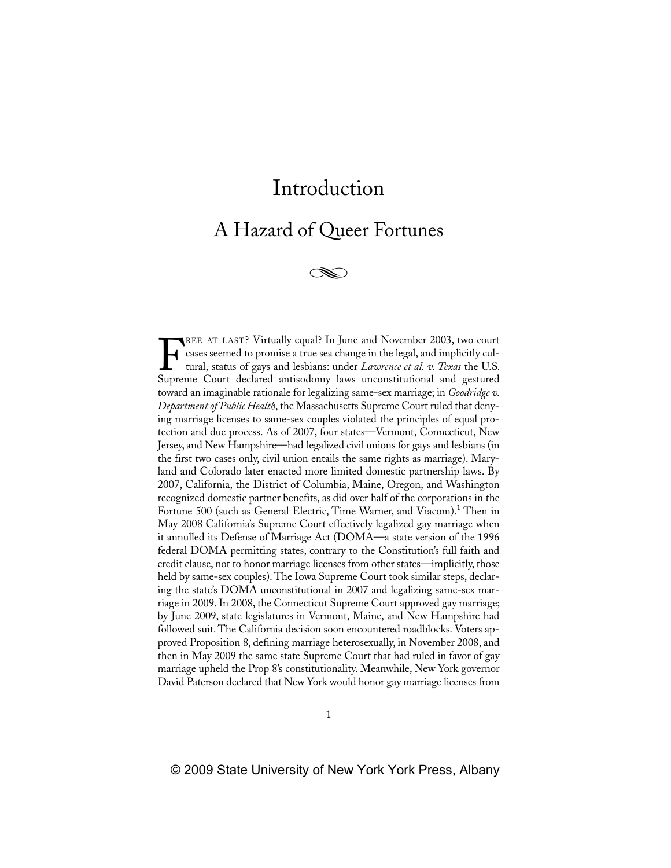# Introduction

## A Hazard of Queer Fortunes



**FREE AT LAST?** Virtually equal? In June and November 2003, two court cases seemed to promise a true sea change in the legal, and implicitly cultural, status of gays and lesbians: under *Lawrence et al. v. Texas* the U.S. cases seemed to promise a true sea change in the legal, and implicitly cultural, status of gays and lesbians: under *Lawrence et al. v. Texas* the U.S. Supreme Court declared antisodomy laws unconstitutional and gestured toward an imaginable rationale for legalizing same-sex marriage; in *Goodridge v. Department of Public Health*, the Massachusetts Supreme Court ruled that denying marriage licenses to same-sex couples violated the principles of equal protection and due process. As of 2007, four states—Vermont, Connecticut, New Jersey, and New Hampshire—had legalized civil unions for gays and lesbians (in the first two cases only, civil union entails the same rights as marriage). Maryland and Colorado later enacted more limited domestic partnership laws. By 2007, California, the District of Columbia, Maine, Oregon, and Washington recognized domestic partner benefits, as did over half of the corporations in the Fortune 500 (such as General Electric, Time Warner, and Viacom).<sup>1</sup> Then in May 2008 California's Supreme Court effectively legalized gay marriage when it annulled its Defense of Marriage Act (DOMA—a state version of the 1996 federal DOMA permitting states, contrary to the Constitution's full faith and credit clause, not to honor marriage licenses from other states—implicitly, those held by same-sex couples). The Iowa Supreme Court took similar steps, declaring the state's DOMA unconstitutional in 2007 and legalizing same-sex marriage in 2009. In 2008, the Connecticut Supreme Court approved gay marriage; by June 2009, state legislatures in Vermont, Maine, and New Hampshire had followed suit. The California decision soon encountered roadblocks. Voters approved Proposition 8, defining marriage heterosexually, in November 2008, and then in May 2009 the same state Supreme Court that had ruled in favor of gay marriage upheld the Prop 8's constitutionality. Meanwhile, New York governor David Paterson declared that New York would honor gay marriage licenses from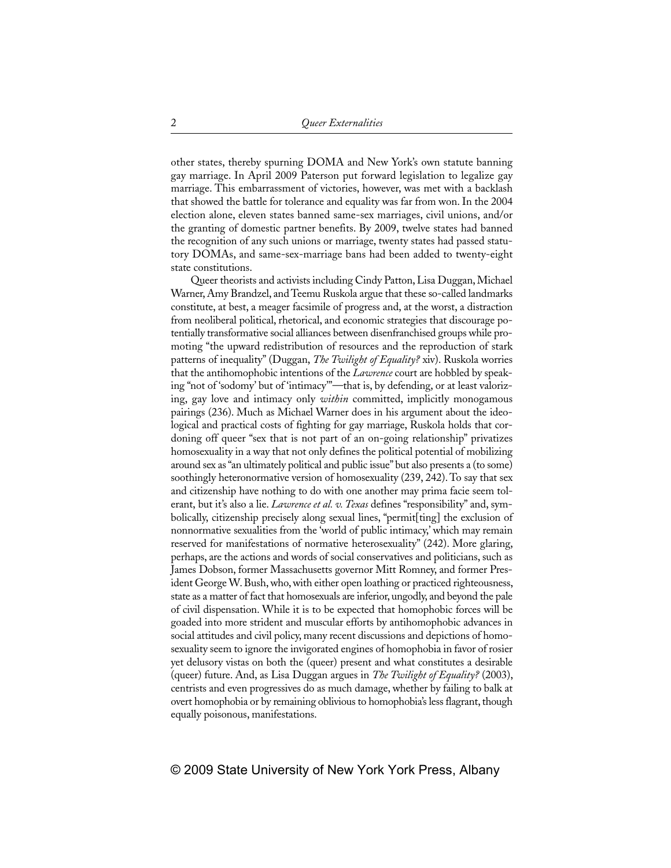other states, thereby spurning DOMA and New York's own statute banning gay marriage. In April 2009 Paterson put forward legislation to legalize gay marriage. This embarrassment of victories, however, was met with a backlash that showed the battle for tolerance and equality was far from won. In the 2004 election alone, eleven states banned same-sex marriages, civil unions, and/or the granting of domestic partner benefits. By 2009, twelve states had banned the recognition of any such unions or marriage, twenty states had passed statutory DOMAs, and same-sex-marriage bans had been added to twenty-eight state constitutions.

Queer theorists and activists including Cindy Patton, Lisa Duggan, Michael Warner, Amy Brandzel, and Teemu Ruskola argue that these so-called landmarks constitute, at best, a meager facsimile of progress and, at the worst, a distraction from neoliberal political, rhetorical, and economic strategies that discourage potentially transformative social alliances between disenfranchised groups while promoting "the upward redistribution of resources and the reproduction of stark patterns of inequality" (Duggan, *The Twilight of Equality?* xiv). Ruskola worries that the antihomophobic intentions of the *Lawrence* court are hobbled by speaking "not of 'sodomy' but of 'intimacy'"—that is, by defending, or at least valorizing, gay love and intimacy only *within* committed, implicitly monogamous pairings (236). Much as Michael Warner does in his argument about the ideological and practical costs of fighting for gay marriage, Ruskola holds that cordoning off queer "sex that is not part of an on-going relationship" privatizes homosexuality in a way that not only defines the political potential of mobilizing around sex as "an ultimately political and public issue" but also presents a (to some) soothingly heteronormative version of homosexuality (239, 242). To say that sex and citizenship have nothing to do with one another may prima facie seem tolerant, but it's also a lie. *Lawrence et al. v. Texas* defines "responsibility" and, symbolically, citizenship precisely along sexual lines, "permit[ting] the exclusion of nonnormative sexualities from the 'world of public intimacy,' which may remain reserved for manifestations of normative heterosexuality" (242). More glaring, perhaps, are the actions and words of social conservatives and politicians, such as James Dobson, former Massachusetts governor Mitt Romney, and former President George W. Bush, who, with either open loathing or practiced righteousness, state as a matter of fact that homosexuals are inferior, ungodly, and beyond the pale of civil dispensation. While it is to be expected that homophobic forces will be goaded into more strident and muscular efforts by antihomophobic advances in social attitudes and civil policy, many recent discussions and depictions of homosexuality seem to ignore the invigorated engines of homophobia in favor of rosier yet delusory vistas on both the (queer) present and what constitutes a desirable (queer) future. And, as Lisa Duggan argues in *The Twilight of Equality?* (2003), centrists and even progressives do as much damage, whether by failing to balk at overt homophobia or by remaining oblivious to homophobia's less flagrant, though equally poisonous, manifestations.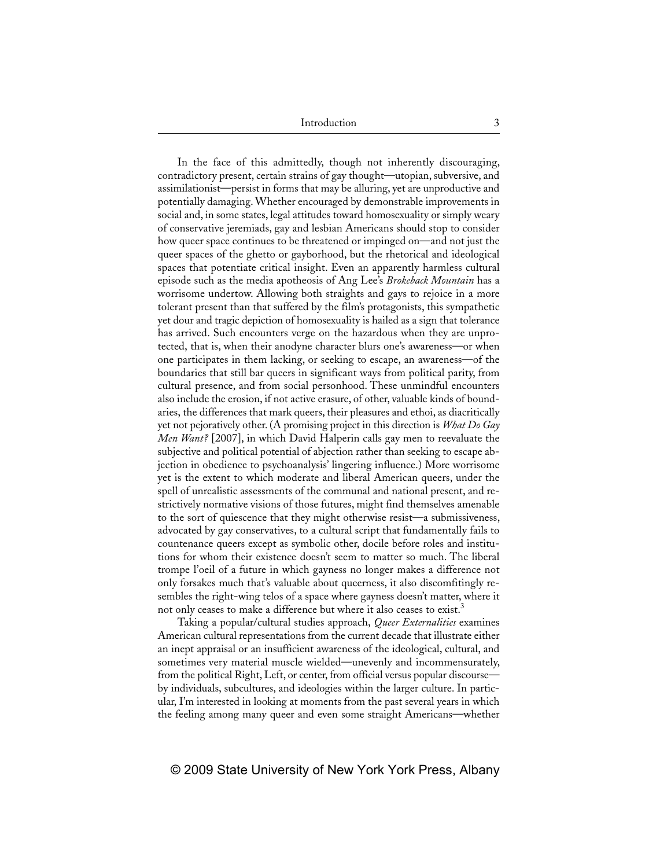In the face of this admittedly, though not inherently discouraging, contradictory present, certain strains of gay thought—utopian, subversive, and assimilationist—persist in forms that may be alluring, yet are unproductive and potentially damaging. Whether encouraged by demonstrable improvements in social and, in some states, legal attitudes toward homosexuality or simply weary of conservative jeremiads, gay and lesbian Americans should stop to consider how queer space continues to be threatened or impinged on—and not just the queer spaces of the ghetto or gayborhood, but the rhetorical and ideological spaces that potentiate critical insight. Even an apparently harmless cultural episode such as the media apotheosis of Ang Lee's *Brokeback Mountain* has a worrisome undertow. Allowing both straights and gays to rejoice in a more tolerant present than that suffered by the film's protagonists, this sympathetic yet dour and tragic depiction of homosexuality is hailed as a sign that tolerance has arrived. Such encounters verge on the hazardous when they are unprotected, that is, when their anodyne character blurs one's awareness—or when one participates in them lacking, or seeking to escape, an awareness—of the boundaries that still bar queers in significant ways from political parity, from cultural presence, and from social personhood. These unmindful encounters also include the erosion, if not active erasure, of other, valuable kinds of boundaries, the differences that mark queers, their pleasures and ethoi, as diacritically yet not pejoratively other. (A promising project in this direction is *What Do Gay Men Want?* [2007], in which David Halperin calls gay men to reevaluate the subjective and political potential of abjection rather than seeking to escape abjection in obedience to psychoanalysis' lingering influence.) More worrisome yet is the extent to which moderate and liberal American queers, under the spell of unrealistic assessments of the communal and national present, and restrictively normative visions of those futures, might find themselves amenable to the sort of quiescence that they might otherwise resist—a submissiveness, advocated by gay conservatives, to a cultural script that fundamentally fails to countenance queers except as symbolic other, docile before roles and institutions for whom their existence doesn't seem to matter so much. The liberal trompe l'oeil of a future in which gayness no longer makes a difference not only forsakes much that's valuable about queerness, it also discomfitingly resembles the right-wing telos of a space where gayness doesn't matter, where it not only ceases to make a difference but where it also ceases to exist.<sup>3</sup>

Taking a popular/cultural studies approach, *Queer Externalities* examines American cultural representations from the current decade that illustrate either an inept appraisal or an insufficient awareness of the ideological, cultural, and sometimes very material muscle wielded—unevenly and incommensurately, from the political Right, Left, or center, from official versus popular discourse by individuals, subcultures, and ideologies within the larger culture. In particular, I'm interested in looking at moments from the past several years in which the feeling among many queer and even some straight Americans—whether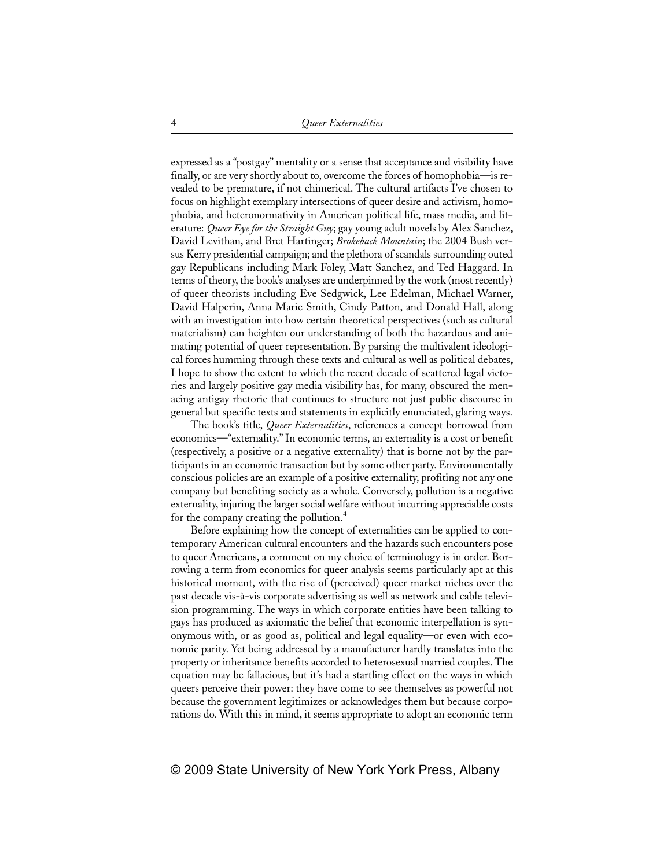expressed as a "postgay" mentality or a sense that acceptance and visibility have finally, or are very shortly about to, overcome the forces of homophobia—is revealed to be premature, if not chimerical. The cultural artifacts I've chosen to focus on highlight exemplary intersections of queer desire and activism, homophobia, and heteronormativity in American political life, mass media, and literature: *Queer Eye for the Straight Guy*; gay young adult novels by Alex Sanchez, David Levithan, and Bret Hartinger; *Brokeback Mountain*; the 2004 Bush versus Kerry presidential campaign; and the plethora of scandals surrounding outed gay Republicans including Mark Foley, Matt Sanchez, and Ted Haggard. In terms of theory, the book's analyses are underpinned by the work (most recently) of queer theorists including Eve Sedgwick, Lee Edelman, Michael Warner, David Halperin, Anna Marie Smith, Cindy Patton, and Donald Hall, along with an investigation into how certain theoretical perspectives (such as cultural materialism) can heighten our understanding of both the hazardous and animating potential of queer representation. By parsing the multivalent ideological forces humming through these texts and cultural as well as political debates, I hope to show the extent to which the recent decade of scattered legal victories and largely positive gay media visibility has, for many, obscured the menacing antigay rhetoric that continues to structure not just public discourse in general but specific texts and statements in explicitly enunciated, glaring ways.

The book's title, *Queer Externalities*, references a concept borrowed from economics—"externality." In economic terms, an externality is a cost or benefit (respectively, a positive or a negative externality) that is borne not by the participants in an economic transaction but by some other party. Environmentally conscious policies are an example of a positive externality, profiting not any one company but benefiting society as a whole. Conversely, pollution is a negative externality, injuring the larger social welfare without incurring appreciable costs for the company creating the pollution.<sup>4</sup>

Before explaining how the concept of externalities can be applied to contemporary American cultural encounters and the hazards such encounters pose to queer Americans, a comment on my choice of terminology is in order. Borrowing a term from economics for queer analysis seems particularly apt at this historical moment, with the rise of (perceived) queer market niches over the past decade vis-à-vis corporate advertising as well as network and cable television programming. The ways in which corporate entities have been talking to gays has produced as axiomatic the belief that economic interpellation is synonymous with, or as good as, political and legal equality—or even with economic parity. Yet being addressed by a manufacturer hardly translates into the property or inheritance benefits accorded to heterosexual married couples. The equation may be fallacious, but it's had a startling effect on the ways in which queers perceive their power: they have come to see themselves as powerful not because the government legitimizes or acknowledges them but because corporations do. With this in mind, it seems appropriate to adopt an economic term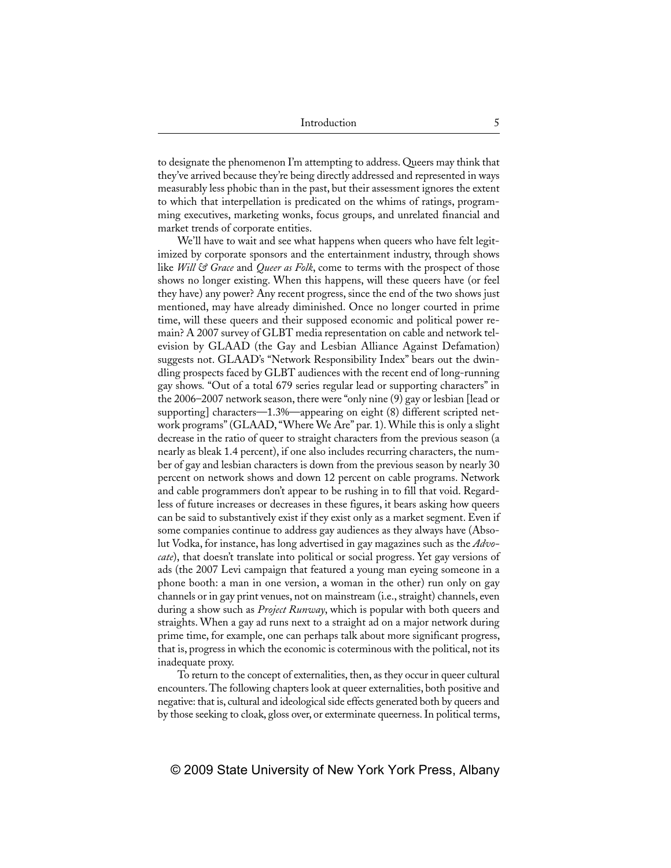to designate the phenomenon I'm attempting to address. Queers may think that they've arrived because they're being directly addressed and represented in ways measurably less phobic than in the past, but their assessment ignores the extent to which that interpellation is predicated on the whims of ratings, programming executives, marketing wonks, focus groups, and unrelated financial and market trends of corporate entities.

We'll have to wait and see what happens when queers who have felt legitimized by corporate sponsors and the entertainment industry, through shows like *Will & Grace* and *Queer as Folk*, come to terms with the prospect of those shows no longer existing. When this happens, will these queers have (or feel they have) any power? Any recent progress, since the end of the two shows just mentioned, may have already diminished. Once no longer courted in prime time, will these queers and their supposed economic and political power remain? A 2007 survey of GLBT media representation on cable and network television by GLAAD (the Gay and Lesbian Alliance Against Defamation) suggests not. GLAAD's "Network Responsibility Index" bears out the dwindling prospects faced by GLBT audiences with the recent end of long-running gay shows*.* "Out of a total 679 series regular lead or supporting characters" in the 2006–2007 network season, there were "only nine (9) gay or lesbian [lead or supporting] characters—1.3%—appearing on eight (8) different scripted network programs" (GLAAD, "Where We Are" par. 1). While this is only a slight decrease in the ratio of queer to straight characters from the previous season (a nearly as bleak 1.4 percent), if one also includes recurring characters, the number of gay and lesbian characters is down from the previous season by nearly 30 percent on network shows and down 12 percent on cable programs. Network and cable programmers don't appear to be rushing in to fill that void. Regardless of future increases or decreases in these figures, it bears asking how queers can be said to substantively exist if they exist only as a market segment. Even if some companies continue to address gay audiences as they always have (Absolut Vodka, for instance, has long advertised in gay magazines such as the *Advocate*), that doesn't translate into political or social progress. Yet gay versions of ads (the 2007 Levi campaign that featured a young man eyeing someone in a phone booth: a man in one version, a woman in the other) run only on gay channels or in gay print venues, not on mainstream (i.e., straight) channels, even during a show such as *Project Runway*, which is popular with both queers and straights. When a gay ad runs next to a straight ad on a major network during prime time, for example, one can perhaps talk about more significant progress, that is, progress in which the economic is coterminous with the political, not its inadequate proxy.

To return to the concept of externalities, then, as they occur in queer cultural encounters. The following chapters look at queer externalities, both positive and negative: that is, cultural and ideological side effects generated both by queers and by those seeking to cloak, gloss over, or exterminate queerness. In political terms,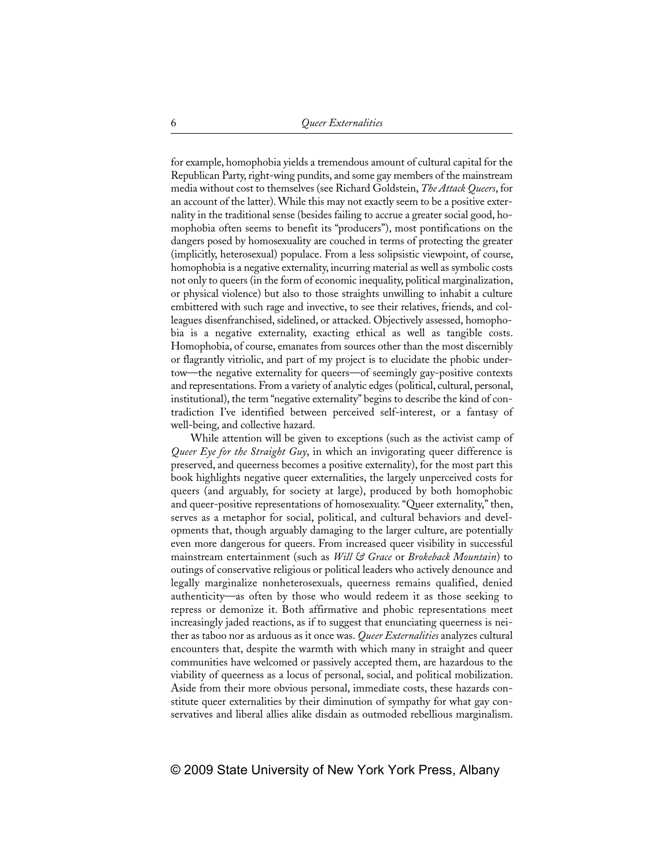for example, homophobia yields a tremendous amount of cultural capital for the Republican Party, right-wing pundits, and some gay members of the mainstream media without cost to themselves (see Richard Goldstein, *The Attack Queers*, for an account of the latter). While this may not exactly seem to be a positive externality in the traditional sense (besides failing to accrue a greater social good, homophobia often seems to benefit its "producers"), most pontifications on the dangers posed by homosexuality are couched in terms of protecting the greater (implicitly, heterosexual) populace. From a less solipsistic viewpoint, of course, homophobia is a negative externality, incurring material as well as symbolic costs not only to queers (in the form of economic inequality, political marginalization, or physical violence) but also to those straights unwilling to inhabit a culture embittered with such rage and invective, to see their relatives, friends, and colleagues disenfranchised, sidelined, or attacked. Objectively assessed, homophobia is a negative externality, exacting ethical as well as tangible costs. Homophobia, of course, emanates from sources other than the most discernibly or flagrantly vitriolic, and part of my project is to elucidate the phobic undertow—the negative externality for queers—of seemingly gay-positive contexts and representations. From a variety of analytic edges (political, cultural, personal, institutional), the term "negative externality" begins to describe the kind of contradiction I've identified between perceived self-interest, or a fantasy of well-being, and collective hazard.

While attention will be given to exceptions (such as the activist camp of *Queer Eye for the Straight Guy*, in which an invigorating queer difference is preserved, and queerness becomes a positive externality), for the most part this book highlights negative queer externalities, the largely unperceived costs for queers (and arguably, for society at large), produced by both homophobic and queer-positive representations of homosexuality. "Queer externality," then, serves as a metaphor for social, political, and cultural behaviors and developments that, though arguably damaging to the larger culture, are potentially even more dangerous for queers. From increased queer visibility in successful mainstream entertainment (such as *Will & Grace* or *Brokeback Mountain*) to outings of conservative religious or political leaders who actively denounce and legally marginalize nonheterosexuals, queerness remains qualified, denied authenticity—as often by those who would redeem it as those seeking to repress or demonize it. Both affirmative and phobic representations meet increasingly jaded reactions, as if to suggest that enunciating queerness is neither as taboo nor as arduous as it once was. *Queer Externalities* analyzes cultural encounters that, despite the warmth with which many in straight and queer communities have welcomed or passively accepted them, are hazardous to the viability of queerness as a locus of personal, social, and political mobilization. Aside from their more obvious personal, immediate costs, these hazards constitute queer externalities by their diminution of sympathy for what gay conservatives and liberal allies alike disdain as outmoded rebellious marginalism.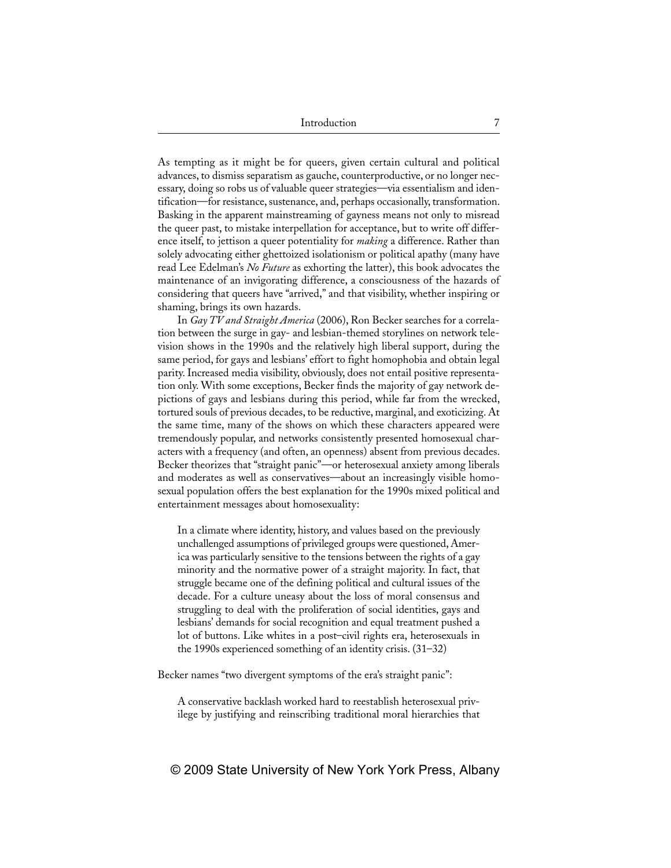As tempting as it might be for queers, given certain cultural and political advances, to dismiss separatism as gauche, counterproductive, or no longer necessary, doing so robs us of valuable queer strategies—via essentialism and identification—for resistance, sustenance, and, perhaps occasionally, transformation. Basking in the apparent mainstreaming of gayness means not only to misread the queer past, to mistake interpellation for acceptance, but to write off difference itself, to jettison a queer potentiality for *making* a difference. Rather than solely advocating either ghettoized isolationism or political apathy (many have read Lee Edelman's *No Future* as exhorting the latter), this book advocates the maintenance of an invigorating difference, a consciousness of the hazards of considering that queers have "arrived," and that visibility, whether inspiring or shaming, brings its own hazards.

In *Gay TV and Straight America* (2006), Ron Becker searches for a correlation between the surge in gay- and lesbian-themed storylines on network television shows in the 1990s and the relatively high liberal support, during the same period, for gays and lesbians' effort to fight homophobia and obtain legal parity. Increased media visibility, obviously, does not entail positive representation only. With some exceptions, Becker finds the majority of gay network depictions of gays and lesbians during this period, while far from the wrecked, tortured souls of previous decades, to be reductive, marginal, and exoticizing. At the same time, many of the shows on which these characters appeared were tremendously popular, and networks consistently presented homosexual characters with a frequency (and often, an openness) absent from previous decades. Becker theorizes that "straight panic"—or heterosexual anxiety among liberals and moderates as well as conservatives—about an increasingly visible homosexual population offers the best explanation for the 1990s mixed political and entertainment messages about homosexuality:

In a climate where identity, history, and values based on the previously unchallenged assumptions of privileged groups were questioned, America was particularly sensitive to the tensions between the rights of a gay minority and the normative power of a straight majority. In fact, that struggle became one of the defining political and cultural issues of the decade. For a culture uneasy about the loss of moral consensus and struggling to deal with the proliferation of social identities, gays and lesbians' demands for social recognition and equal treatment pushed a lot of buttons. Like whites in a post–civil rights era, heterosexuals in the 1990s experienced something of an identity crisis. (31–32)

Becker names "two divergent symptoms of the era's straight panic":

A conservative backlash worked hard to reestablish heterosexual privilege by justifying and reinscribing traditional moral hierarchies that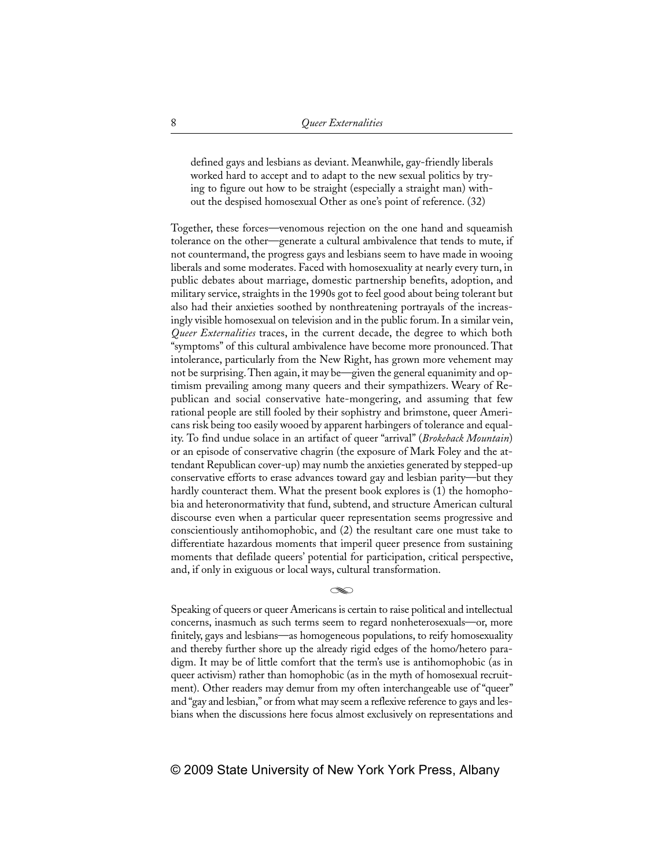defined gays and lesbians as deviant. Meanwhile, gay-friendly liberals worked hard to accept and to adapt to the new sexual politics by trying to figure out how to be straight (especially a straight man) without the despised homosexual Other as one's point of reference. (32)

Together, these forces—venomous rejection on the one hand and squeamish tolerance on the other—generate a cultural ambivalence that tends to mute, if not countermand, the progress gays and lesbians seem to have made in wooing liberals and some moderates. Faced with homosexuality at nearly every turn, in public debates about marriage, domestic partnership benefits, adoption, and military service, straights in the 1990s got to feel good about being tolerant but also had their anxieties soothed by nonthreatening portrayals of the increasingly visible homosexual on television and in the public forum. In a similar vein, *Queer Externalities* traces, in the current decade, the degree to which both "symptoms" of this cultural ambivalence have become more pronounced. That intolerance, particularly from the New Right, has grown more vehement may not be surprising. Then again, it may be—given the general equanimity and optimism prevailing among many queers and their sympathizers. Weary of Republican and social conservative hate-mongering, and assuming that few rational people are still fooled by their sophistry and brimstone, queer Americans risk being too easily wooed by apparent harbingers of tolerance and equality. To find undue solace in an artifact of queer "arrival" (*Brokeback Mountain*) or an episode of conservative chagrin (the exposure of Mark Foley and the attendant Republican cover-up) may numb the anxieties generated by stepped-up conservative efforts to erase advances toward gay and lesbian parity—but they hardly counteract them. What the present book explores is (1) the homophobia and heteronormativity that fund, subtend, and structure American cultural discourse even when a particular queer representation seems progressive and conscientiously antihomophobic, and (2) the resultant care one must take to differentiate hazardous moments that imperil queer presence from sustaining moments that defilade queers' potential for participation, critical perspective, and, if only in exiguous or local ways, cultural transformation.

Speaking of queers or queer Americans is certain to raise political and intellectual concerns, inasmuch as such terms seem to regard nonheterosexuals—or, more finitely, gays and lesbians—as homogeneous populations, to reify homosexuality and thereby further shore up the already rigid edges of the homo/hetero paradigm. It may be of little comfort that the term's use is antihomophobic (as in queer activism) rather than homophobic (as in the myth of homosexual recruitment). Other readers may demur from my often interchangeable use of "queer" and "gay and lesbian," or from what may seem a reflexive reference to gays and lesbians when the discussions here focus almost exclusively on representations and

 $\sim$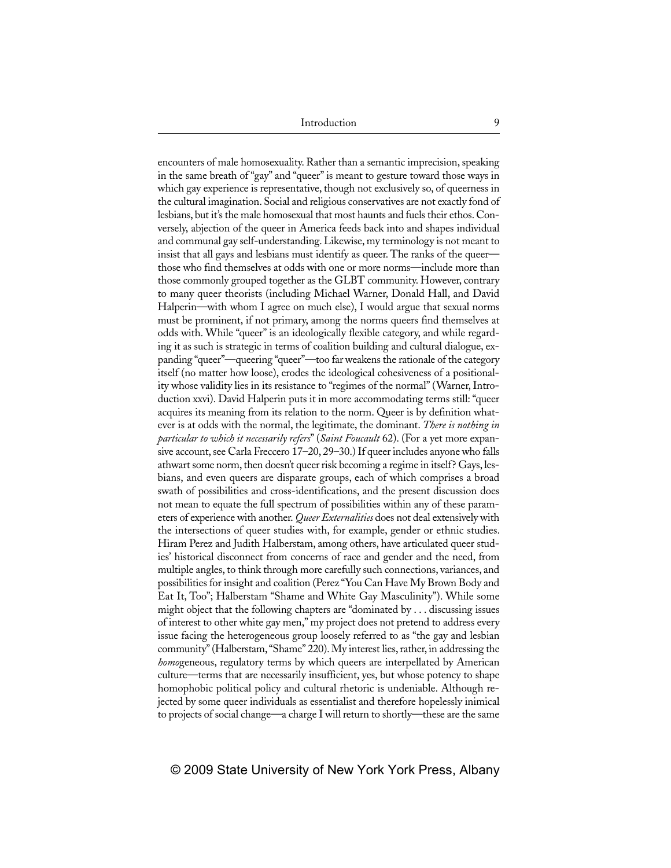encounters of male homosexuality. Rather than a semantic imprecision, speaking in the same breath of "gay" and "queer" is meant to gesture toward those ways in which gay experience is representative, though not exclusively so, of queerness in the cultural imagination. Social and religious conservatives are not exactly fond of lesbians, but it's the male homosexual that most haunts and fuels their ethos. Conversely, abjection of the queer in America feeds back into and shapes individual and communal gay self-understanding. Likewise, my terminology is not meant to insist that all gays and lesbians must identify as queer. The ranks of the queer those who find themselves at odds with one or more norms—include more than those commonly grouped together as the GLBT community. However, contrary to many queer theorists (including Michael Warner, Donald Hall, and David Halperin—with whom I agree on much else), I would argue that sexual norms must be prominent, if not primary, among the norms queers find themselves at odds with. While "queer" is an ideologically flexible category, and while regarding it as such is strategic in terms of coalition building and cultural dialogue, expanding "queer"—queering "queer"—too far weakens the rationale of the category itself (no matter how loose), erodes the ideological cohesiveness of a positionality whose validity lies in its resistance to "regimes of the normal" (Warner, Introduction xxvi). David Halperin puts it in more accommodating terms still: "queer acquires its meaning from its relation to the norm. Queer is by definition whatever is at odds with the normal, the legitimate, the dominant. *There is nothing in particular to which it necessarily refers*" (*Saint Foucault* 62). (For a yet more expansive account, see Carla Freccero 17–20, 29–30.) If queer includes anyone who falls athwart some norm, then doesn't queer risk becoming a regime in itself? Gays, lesbians, and even queers are disparate groups, each of which comprises a broad swath of possibilities and cross-identifications, and the present discussion does not mean to equate the full spectrum of possibilities within any of these parameters of experience with another. *Queer Externalities* does not deal extensively with the intersections of queer studies with, for example, gender or ethnic studies. Hiram Perez and Judith Halberstam, among others, have articulated queer studies' historical disconnect from concerns of race and gender and the need, from multiple angles, to think through more carefully such connections, variances, and possibilities for insight and coalition (Perez "You Can Have My Brown Body and Eat It, Too"; Halberstam "Shame and White Gay Masculinity"). While some might object that the following chapters are "dominated by . . . discussing issues of interest to other white gay men," my project does not pretend to address every issue facing the heterogeneous group loosely referred to as "the gay and lesbian community" (Halberstam,"Shame" 220). My interest lies, rather, in addressing the *homo*geneous, regulatory terms by which queers are interpellated by American culture—terms that are necessarily insufficient, yes, but whose potency to shape homophobic political policy and cultural rhetoric is undeniable. Although rejected by some queer individuals as essentialist and therefore hopelessly inimical to projects of social change—a charge I will return to shortly—these are the same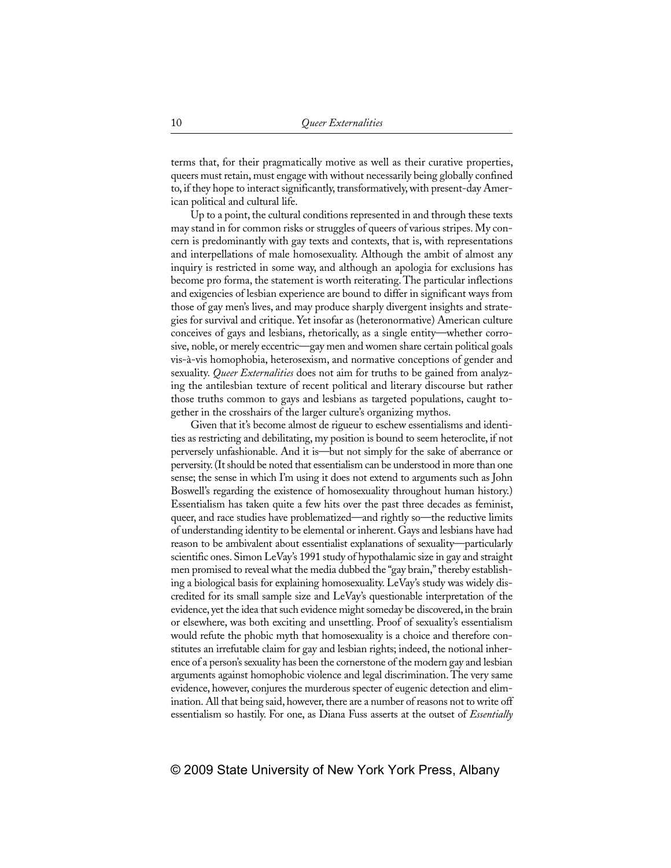terms that, for their pragmatically motive as well as their curative properties, queers must retain, must engage with without necessarily being globally confined to, if they hope to interact significantly, transformatively, with present-day American political and cultural life.

Up to a point, the cultural conditions represented in and through these texts may stand in for common risks or struggles of queers of various stripes. My concern is predominantly with gay texts and contexts, that is, with representations and interpellations of male homosexuality. Although the ambit of almost any inquiry is restricted in some way, and although an apologia for exclusions has become pro forma, the statement is worth reiterating. The particular inflections and exigencies of lesbian experience are bound to differ in significant ways from those of gay men's lives, and may produce sharply divergent insights and strategies for survival and critique. Yet insofar as (heteronormative) American culture conceives of gays and lesbians, rhetorically, as a single entity—whether corrosive, noble, or merely eccentric—gay men and women share certain political goals vis-à-vis homophobia, heterosexism, and normative conceptions of gender and sexuality. *Queer Externalities* does not aim for truths to be gained from analyzing the antilesbian texture of recent political and literary discourse but rather those truths common to gays and lesbians as targeted populations, caught together in the crosshairs of the larger culture's organizing mythos.

Given that it's become almost de rigueur to eschew essentialisms and identities as restricting and debilitating, my position is bound to seem heteroclite, if not perversely unfashionable. And it is—but not simply for the sake of aberrance or perversity. (It should be noted that essentialism can be understood in more than one sense; the sense in which I'm using it does not extend to arguments such as John Boswell's regarding the existence of homosexuality throughout human history.) Essentialism has taken quite a few hits over the past three decades as feminist, queer, and race studies have problematized—and rightly so—the reductive limits of understanding identity to be elemental or inherent. Gays and lesbians have had reason to be ambivalent about essentialist explanations of sexuality—particularly scientific ones. Simon LeVay's 1991 study of hypothalamic size in gay and straight men promised to reveal what the media dubbed the "gay brain," thereby establishing a biological basis for explaining homosexuality. LeVay's study was widely discredited for its small sample size and LeVay's questionable interpretation of the evidence, yet the idea that such evidence might someday be discovered, in the brain or elsewhere, was both exciting and unsettling. Proof of sexuality's essentialism would refute the phobic myth that homosexuality is a choice and therefore constitutes an irrefutable claim for gay and lesbian rights; indeed, the notional inherence of a person's sexuality has been the cornerstone of the modern gay and lesbian arguments against homophobic violence and legal discrimination. The very same evidence, however, conjures the murderous specter of eugenic detection and elimination. All that being said, however, there are a number of reasons not to write off essentialism so hastily. For one, as Diana Fuss asserts at the outset of *Essentially*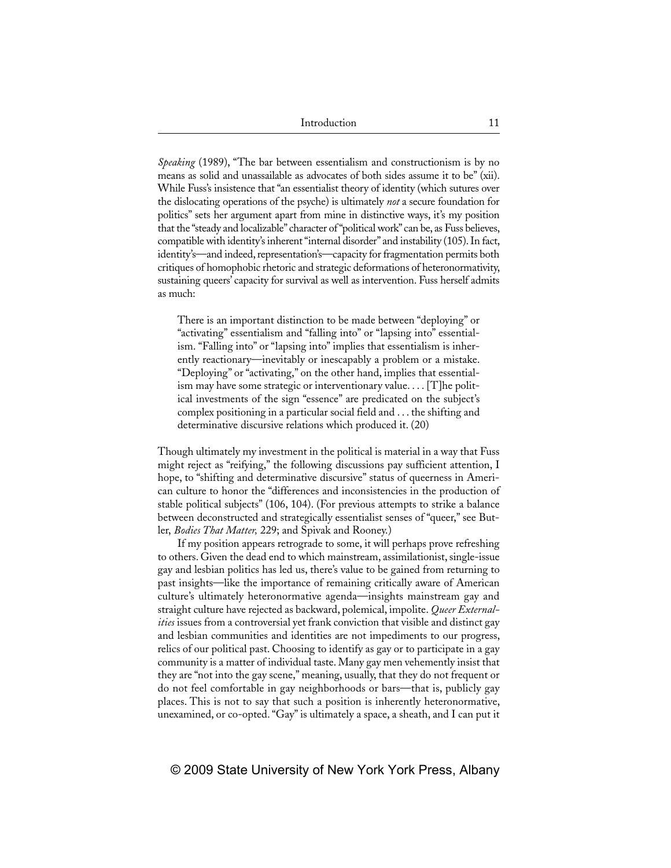*Speaking* (1989), "The bar between essentialism and constructionism is by no means as solid and unassailable as advocates of both sides assume it to be" (xii). While Fuss's insistence that "an essentialist theory of identity (which sutures over the dislocating operations of the psyche) is ultimately *not* a secure foundation for politics" sets her argument apart from mine in distinctive ways, it's my position that the "steady and localizable" character of "political work" can be, as Fuss believes, compatible with identity's inherent "internal disorder" and instability (105). In fact, identity's—and indeed, representation's—capacity for fragmentation permits both critiques of homophobic rhetoric and strategic deformations of heteronormativity, sustaining queers' capacity for survival as well as intervention. Fuss herself admits as much:

There is an important distinction to be made between "deploying" or "activating" essentialism and "falling into" or "lapsing into" essentialism. "Falling into" or "lapsing into" implies that essentialism is inherently reactionary—inevitably or inescapably a problem or a mistake. "Deploying" or "activating," on the other hand, implies that essentialism may have some strategic or interventionary value. . . . [T]he political investments of the sign "essence" are predicated on the subject's complex positioning in a particular social field and . . . the shifting and determinative discursive relations which produced it. (20)

Though ultimately my investment in the political is material in a way that Fuss might reject as "reifying," the following discussions pay sufficient attention, I hope, to "shifting and determinative discursive" status of queerness in American culture to honor the "differences and inconsistencies in the production of stable political subjects" (106, 104). (For previous attempts to strike a balance between deconstructed and strategically essentialist senses of "queer," see Butler, *Bodies That Matter,* 229; and Spivak and Rooney.)

If my position appears retrograde to some, it will perhaps prove refreshing to others. Given the dead end to which mainstream, assimilationist, single-issue gay and lesbian politics has led us, there's value to be gained from returning to past insights—like the importance of remaining critically aware of American culture's ultimately heteronormative agenda—insights mainstream gay and straight culture have rejected as backward, polemical, impolite. *Queer Externalities* issues from a controversial yet frank conviction that visible and distinct gay and lesbian communities and identities are not impediments to our progress, relics of our political past. Choosing to identify as gay or to participate in a gay community is a matter of individual taste. Many gay men vehemently insist that they are "not into the gay scene," meaning, usually, that they do not frequent or do not feel comfortable in gay neighborhoods or bars—that is, publicly gay places. This is not to say that such a position is inherently heteronormative, unexamined, or co-opted. "Gay" is ultimately a space, a sheath, and I can put it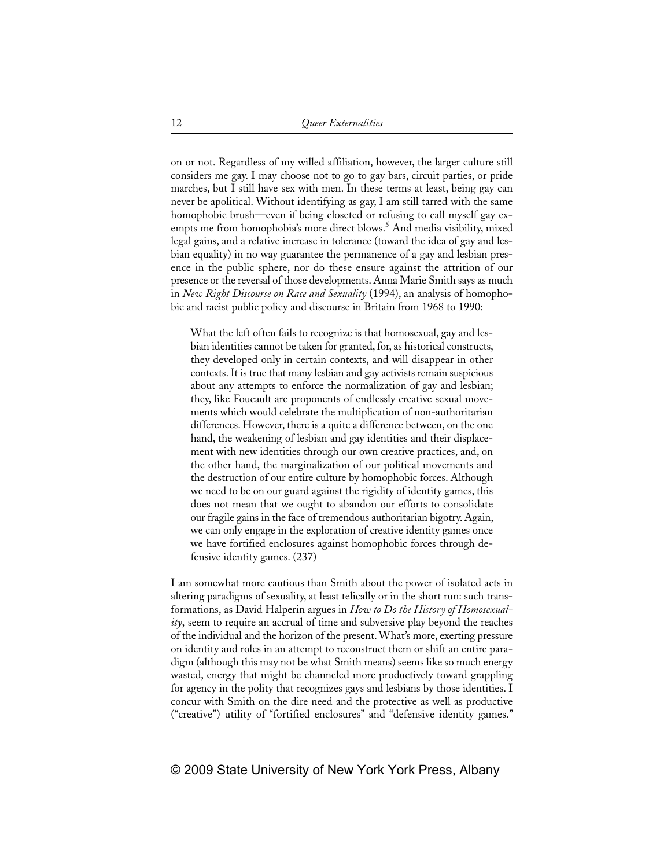on or not. Regardless of my willed affiliation, however, the larger culture still considers me gay. I may choose not to go to gay bars, circuit parties, or pride marches, but I still have sex with men. In these terms at least, being gay can never be apolitical. Without identifying as gay, I am still tarred with the same homophobic brush—even if being closeted or refusing to call myself gay exempts me from homophobia's more direct blows.<sup>5</sup> And media visibility, mixed legal gains, and a relative increase in tolerance (toward the idea of gay and lesbian equality) in no way guarantee the permanence of a gay and lesbian presence in the public sphere, nor do these ensure against the attrition of our presence or the reversal of those developments. Anna Marie Smith says as much in *New Right Discourse on Race and Sexuality* (1994), an analysis of homophobic and racist public policy and discourse in Britain from 1968 to 1990:

What the left often fails to recognize is that homosexual, gay and lesbian identities cannot be taken for granted, for, as historical constructs, they developed only in certain contexts, and will disappear in other contexts. It is true that many lesbian and gay activists remain suspicious about any attempts to enforce the normalization of gay and lesbian; they, like Foucault are proponents of endlessly creative sexual movements which would celebrate the multiplication of non-authoritarian differences. However, there is a quite a difference between, on the one hand, the weakening of lesbian and gay identities and their displacement with new identities through our own creative practices, and, on the other hand, the marginalization of our political movements and the destruction of our entire culture by homophobic forces. Although we need to be on our guard against the rigidity of identity games, this does not mean that we ought to abandon our efforts to consolidate our fragile gains in the face of tremendous authoritarian bigotry. Again, we can only engage in the exploration of creative identity games once we have fortified enclosures against homophobic forces through defensive identity games. (237)

I am somewhat more cautious than Smith about the power of isolated acts in altering paradigms of sexuality, at least telically or in the short run: such transformations, as David Halperin argues in *How to Do the History of Homosexuality*, seem to require an accrual of time and subversive play beyond the reaches of the individual and the horizon of the present. What's more, exerting pressure on identity and roles in an attempt to reconstruct them or shift an entire paradigm (although this may not be what Smith means) seems like so much energy wasted, energy that might be channeled more productively toward grappling for agency in the polity that recognizes gays and lesbians by those identities. I concur with Smith on the dire need and the protective as well as productive ("creative") utility of "fortified enclosures" and "defensive identity games."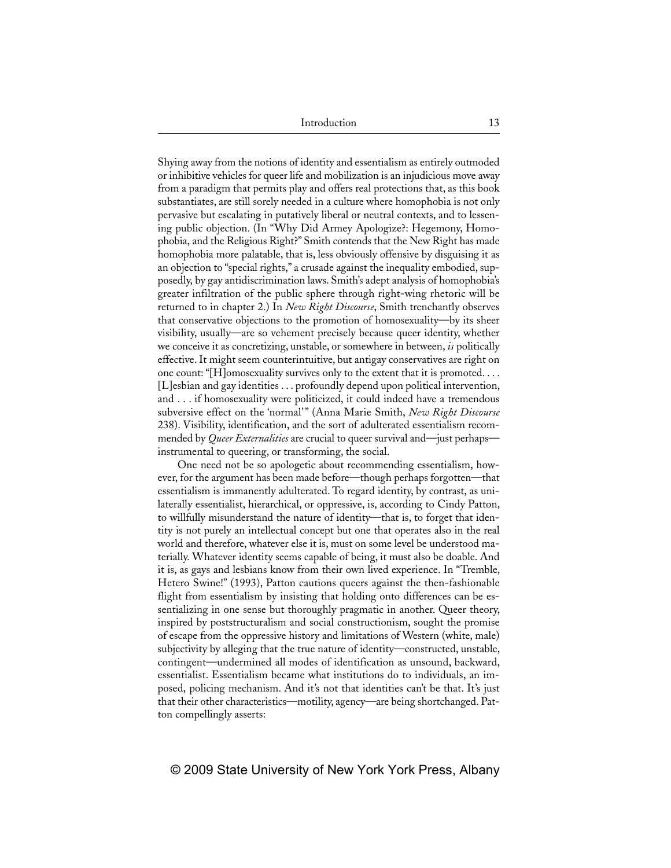Shying away from the notions of identity and essentialism as entirely outmoded or inhibitive vehicles for queer life and mobilization is an injudicious move away from a paradigm that permits play and offers real protections that, as this book substantiates, are still sorely needed in a culture where homophobia is not only pervasive but escalating in putatively liberal or neutral contexts, and to lessening public objection. (In "Why Did Armey Apologize?: Hegemony, Homophobia, and the Religious Right?" Smith contends that the New Right has made homophobia more palatable, that is, less obviously offensive by disguising it as an objection to "special rights," a crusade against the inequality embodied, supposedly, by gay antidiscrimination laws. Smith's adept analysis of homophobia's greater infiltration of the public sphere through right-wing rhetoric will be returned to in chapter 2.) In *New Right Discourse*, Smith trenchantly observes that conservative objections to the promotion of homosexuality—by its sheer visibility, usually—are so vehement precisely because queer identity, whether we conceive it as concretizing, unstable, or somewhere in between, *is* politically effective. It might seem counterintuitive, but antigay conservatives are right on one count: "[H]omosexuality survives only to the extent that it is promoted. . . . [L]esbian and gay identities . . . profoundly depend upon political intervention, and . . . if homosexuality were politicized, it could indeed have a tremendous subversive effect on the 'normal'" (Anna Marie Smith, *New Right Discourse* 238). Visibility, identification, and the sort of adulterated essentialism recommended by *Queer Externalities* are crucial to queer survival and—just perhaps instrumental to queering, or transforming, the social.

One need not be so apologetic about recommending essentialism, however, for the argument has been made before—though perhaps forgotten—that essentialism is immanently adulterated. To regard identity, by contrast, as unilaterally essentialist, hierarchical, or oppressive, is, according to Cindy Patton, to willfully misunderstand the nature of identity—that is, to forget that identity is not purely an intellectual concept but one that operates also in the real world and therefore, whatever else it is, must on some level be understood materially. Whatever identity seems capable of being, it must also be doable. And it is, as gays and lesbians know from their own lived experience. In "Tremble, Hetero Swine!" (1993), Patton cautions queers against the then-fashionable flight from essentialism by insisting that holding onto differences can be essentializing in one sense but thoroughly pragmatic in another. Queer theory, inspired by poststructuralism and social constructionism, sought the promise of escape from the oppressive history and limitations of Western (white, male) subjectivity by alleging that the true nature of identity—constructed, unstable, contingent—undermined all modes of identification as unsound, backward, essentialist. Essentialism became what institutions do to individuals, an imposed, policing mechanism. And it's not that identities can't be that. It's just that their other characteristics—motility, agency—are being shortchanged. Patton compellingly asserts: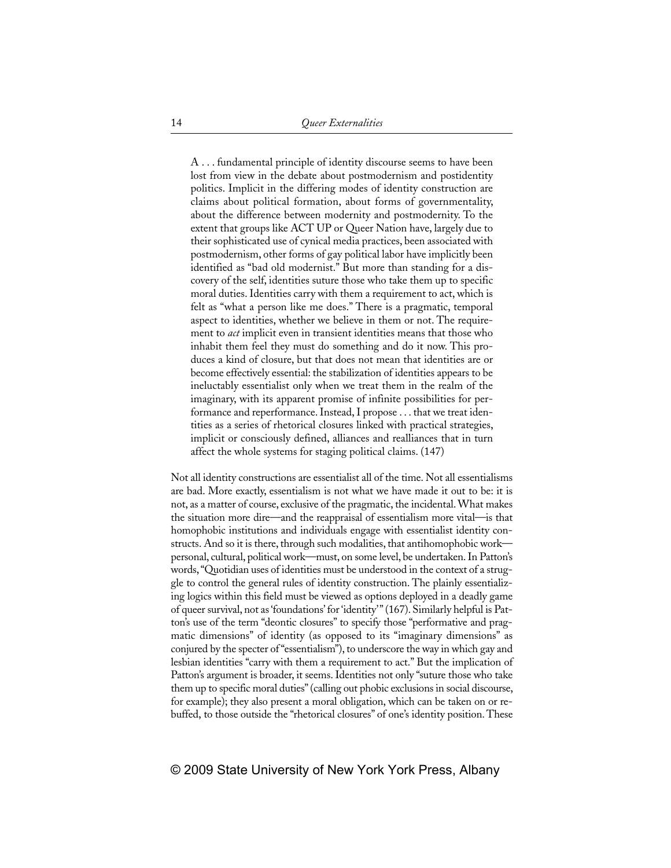A . . . fundamental principle of identity discourse seems to have been lost from view in the debate about postmodernism and postidentity politics. Implicit in the differing modes of identity construction are claims about political formation, about forms of governmentality, about the difference between modernity and postmodernity. To the extent that groups like ACT UP or Queer Nation have, largely due to their sophisticated use of cynical media practices, been associated with postmodernism, other forms of gay political labor have implicitly been identified as "bad old modernist." But more than standing for a discovery of the self, identities suture those who take them up to specific moral duties. Identities carry with them a requirement to act, which is felt as "what a person like me does." There is a pragmatic, temporal aspect to identities, whether we believe in them or not. The requirement to *act* implicit even in transient identities means that those who inhabit them feel they must do something and do it now. This produces a kind of closure, but that does not mean that identities are or become effectively essential: the stabilization of identities appears to be ineluctably essentialist only when we treat them in the realm of the imaginary, with its apparent promise of infinite possibilities for performance and reperformance. Instead, I propose . . . that we treat identities as a series of rhetorical closures linked with practical strategies, implicit or consciously defined, alliances and realliances that in turn affect the whole systems for staging political claims. (147)

Not all identity constructions are essentialist all of the time. Not all essentialisms are bad. More exactly, essentialism is not what we have made it out to be: it is not, as a matter of course, exclusive of the pragmatic, the incidental. What makes the situation more dire—and the reappraisal of essentialism more vital—is that homophobic institutions and individuals engage with essentialist identity constructs. And so it is there, through such modalities, that antihomophobic work personal, cultural, political work—must, on some level, be undertaken. In Patton's words, "Quotidian uses of identities must be understood in the context of a struggle to control the general rules of identity construction. The plainly essentializing logics within this field must be viewed as options deployed in a deadly game of queer survival, not as 'foundations' for 'identity'" (167). Similarly helpful is Patton's use of the term "deontic closures" to specify those "performative and pragmatic dimensions" of identity (as opposed to its "imaginary dimensions" as conjured by the specter of "essentialism"), to underscore the way in which gay and lesbian identities "carry with them a requirement to act." But the implication of Patton's argument is broader, it seems. Identities not only "suture those who take them up to specific moral duties" (calling out phobic exclusions in social discourse, for example); they also present a moral obligation, which can be taken on or rebuffed, to those outside the "rhetorical closures" of one's identity position. These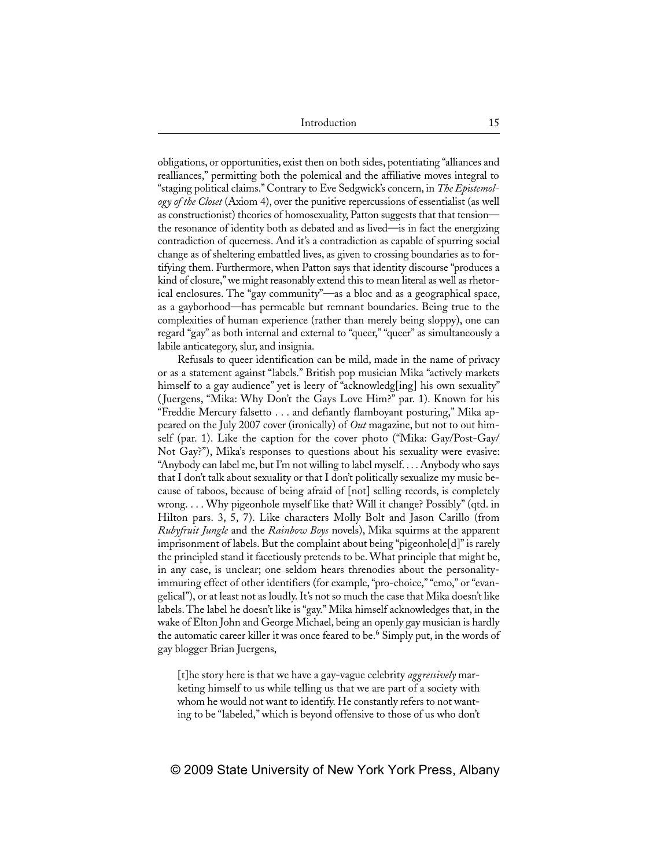obligations, or opportunities, exist then on both sides, potentiating "alliances and realliances," permitting both the polemical and the affiliative moves integral to "staging political claims." Contrary to Eve Sedgwick's concern, in *The Epistemology of the Closet* (Axiom 4), over the punitive repercussions of essentialist (as well as constructionist) theories of homosexuality, Patton suggests that that tension the resonance of identity both as debated and as lived—is in fact the energizing contradiction of queerness. And it's a contradiction as capable of spurring social change as of sheltering embattled lives, as given to crossing boundaries as to fortifying them. Furthermore, when Patton says that identity discourse "produces a kind of closure," we might reasonably extend this to mean literal as well as rhetorical enclosures. The "gay community"—as a bloc and as a geographical space, as a gayborhood—has permeable but remnant boundaries. Being true to the complexities of human experience (rather than merely being sloppy), one can regard "gay" as both internal and external to "queer," "queer" as simultaneously a labile anticategory, slur, and insignia.

Refusals to queer identification can be mild, made in the name of privacy or as a statement against "labels." British pop musician Mika "actively markets himself to a gay audience" yet is leery of "acknowledg[ing] his own sexuality" ( Juergens, "Mika: Why Don't the Gays Love Him?" par. 1). Known for his "Freddie Mercury falsetto . . . and defiantly flamboyant posturing," Mika appeared on the July 2007 cover (ironically) of *Out* magazine, but not to out himself (par. 1). Like the caption for the cover photo ("Mika: Gay/Post-Gay/ Not Gay?"), Mika's responses to questions about his sexuality were evasive: "Anybody can label me, but I'm not willing to label myself. . . . Anybody who says that I don't talk about sexuality or that I don't politically sexualize my music because of taboos, because of being afraid of [not] selling records, is completely wrong. . . . Why pigeonhole myself like that? Will it change? Possibly" (qtd. in Hilton pars. 3, 5, 7). Like characters Molly Bolt and Jason Carillo (from *Rubyfruit Jungle* and the *Rainbow Boys* novels), Mika squirms at the apparent imprisonment of labels. But the complaint about being "pigeonhole[d]" is rarely the principled stand it facetiously pretends to be. What principle that might be, in any case, is unclear; one seldom hears threnodies about the personalityimmuring effect of other identifiers (for example, "pro-choice," "emo," or "evangelical"), or at least not as loudly. It's not so much the case that Mika doesn't like labels. The label he doesn't like is "gay." Mika himself acknowledges that, in the wake of Elton John and George Michael, being an openly gay musician is hardly the automatic career killer it was once feared to be.<sup>6</sup> Simply put, in the words of gay blogger Brian Juergens,

[t]he story here is that we have a gay-vague celebrity *aggressively* marketing himself to us while telling us that we are part of a society with whom he would not want to identify. He constantly refers to not wanting to be "labeled," which is beyond offensive to those of us who don't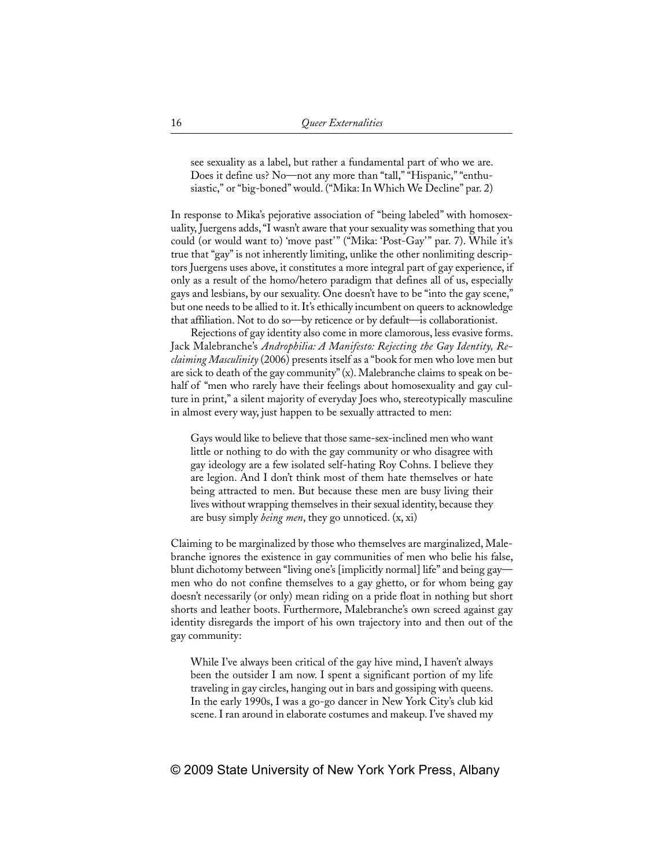see sexuality as a label, but rather a fundamental part of who we are. Does it define us? No—not any more than "tall," "Hispanic," "enthusiastic," or "big-boned" would. ("Mika: In Which We Decline" par. 2)

In response to Mika's pejorative association of "being labeled" with homosexuality, Juergens adds, "I wasn't aware that your sexuality was something that you could (or would want to) 'move past'" ("Mika: 'Post-Gay'" par. 7). While it's true that "gay" is not inherently limiting, unlike the other nonlimiting descriptors Juergens uses above, it constitutes a more integral part of gay experience, if only as a result of the homo/hetero paradigm that defines all of us, especially gays and lesbians, by our sexuality. One doesn't have to be "into the gay scene," but one needs to be allied to it. It's ethically incumbent on queers to acknowledge that affiliation. Not to do so—by reticence or by default—is collaborationist.

Rejections of gay identity also come in more clamorous, less evasive forms. Jack Malebranche's *Androphilia: A Manifesto: Rejecting the Gay Identity, Reclaiming Masculinity* (2006) presents itself as a "book for men who love men but are sick to death of the gay community" (x). Malebranche claims to speak on behalf of "men who rarely have their feelings about homosexuality and gay culture in print," a silent majority of everyday Joes who, stereotypically masculine in almost every way, just happen to be sexually attracted to men:

Gays would like to believe that those same-sex-inclined men who want little or nothing to do with the gay community or who disagree with gay ideology are a few isolated self-hating Roy Cohns. I believe they are legion. And I don't think most of them hate themselves or hate being attracted to men. But because these men are busy living their lives without wrapping themselves in their sexual identity, because they are busy simply *being men*, they go unnoticed. (x, xi)

Claiming to be marginalized by those who themselves are marginalized, Malebranche ignores the existence in gay communities of men who belie his false, blunt dichotomy between "living one's [implicitly normal] life" and being gay men who do not confine themselves to a gay ghetto, or for whom being gay doesn't necessarily (or only) mean riding on a pride float in nothing but short shorts and leather boots. Furthermore, Malebranche's own screed against gay identity disregards the import of his own trajectory into and then out of the gay community:

While I've always been critical of the gay hive mind, I haven't always been the outsider I am now. I spent a significant portion of my life traveling in gay circles, hanging out in bars and gossiping with queens. In the early 1990s, I was a go-go dancer in New York City's club kid scene. I ran around in elaborate costumes and makeup. I've shaved my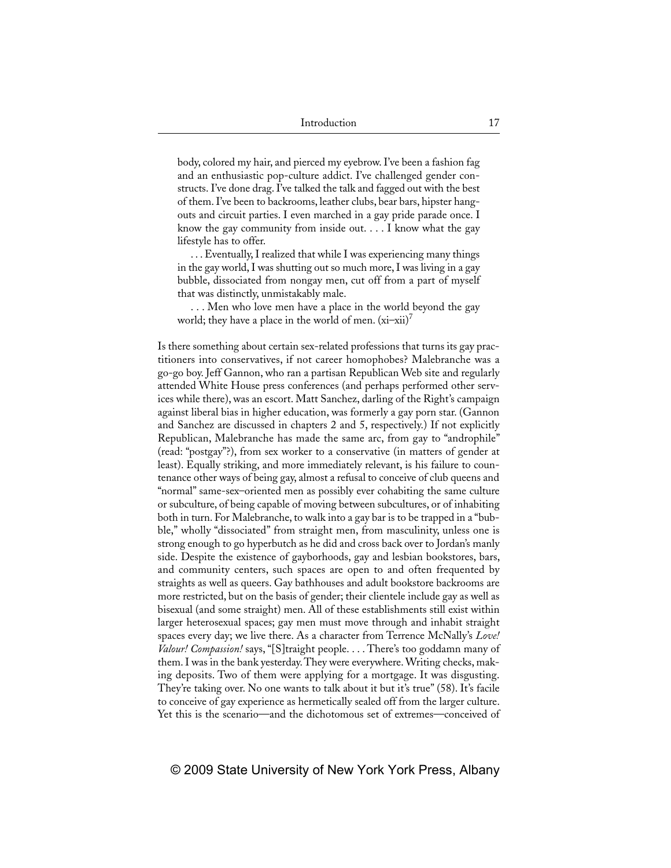body, colored my hair, and pierced my eyebrow. I've been a fashion fag and an enthusiastic pop-culture addict. I've challenged gender constructs. I've done drag. I've talked the talk and fagged out with the best of them. I've been to backrooms, leather clubs, bear bars, hipster hangouts and circuit parties. I even marched in a gay pride parade once. I know the gay community from inside out. . . . I know what the gay lifestyle has to offer.

. . . Eventually, I realized that while I was experiencing many things in the gay world, I was shutting out so much more, I was living in a gay bubble, dissociated from nongay men, cut off from a part of myself that was distinctly, unmistakably male.

. . . Men who love men have a place in the world beyond the gay world; they have a place in the world of men.  $(xi-xii)^7$ 

Is there something about certain sex-related professions that turns its gay practitioners into conservatives, if not career homophobes? Malebranche was a go-go boy. Jeff Gannon, who ran a partisan Republican Web site and regularly attended White House press conferences (and perhaps performed other services while there), was an escort. Matt Sanchez, darling of the Right's campaign against liberal bias in higher education, was formerly a gay porn star. (Gannon and Sanchez are discussed in chapters 2 and 5, respectively.) If not explicitly Republican, Malebranche has made the same arc, from gay to "androphile" (read: "postgay"?), from sex worker to a conservative (in matters of gender at least). Equally striking, and more immediately relevant, is his failure to countenance other ways of being gay, almost a refusal to conceive of club queens and "normal" same-sex–oriented men as possibly ever cohabiting the same culture or subculture, of being capable of moving between subcultures, or of inhabiting both in turn. For Malebranche, to walk into a gay bar is to be trapped in a "bubble," wholly "dissociated" from straight men, from masculinity, unless one is strong enough to go hyperbutch as he did and cross back over to Jordan's manly side. Despite the existence of gayborhoods, gay and lesbian bookstores, bars, and community centers, such spaces are open to and often frequented by straights as well as queers. Gay bathhouses and adult bookstore backrooms are more restricted, but on the basis of gender; their clientele include gay as well as bisexual (and some straight) men. All of these establishments still exist within larger heterosexual spaces; gay men must move through and inhabit straight spaces every day; we live there. As a character from Terrence McNally's *Love! Valour! Compassion!* says, "[S]traight people. . . . There's too goddamn many of them. I was in the bank yesterday.They were everywhere. Writing checks, making deposits. Two of them were applying for a mortgage. It was disgusting. They're taking over. No one wants to talk about it but it's true" (58). It's facile to conceive of gay experience as hermetically sealed off from the larger culture. Yet this is the scenario—and the dichotomous set of extremes—conceived of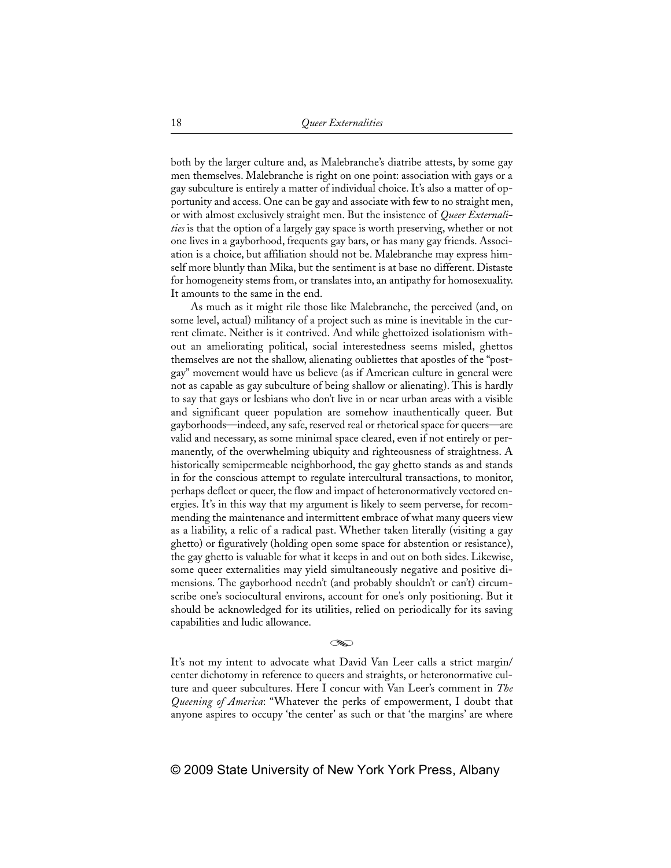both by the larger culture and, as Malebranche's diatribe attests, by some gay men themselves. Malebranche is right on one point: association with gays or a gay subculture is entirely a matter of individual choice. It's also a matter of opportunity and access. One can be gay and associate with few to no straight men, or with almost exclusively straight men. But the insistence of *Queer Externalities* is that the option of a largely gay space is worth preserving, whether or not one lives in a gayborhood, frequents gay bars, or has many gay friends. Association is a choice, but affiliation should not be. Malebranche may express himself more bluntly than Mika, but the sentiment is at base no different. Distaste for homogeneity stems from, or translates into, an antipathy for homosexuality. It amounts to the same in the end.

As much as it might rile those like Malebranche, the perceived (and, on some level, actual) militancy of a project such as mine is inevitable in the current climate. Neither is it contrived. And while ghettoized isolationism without an ameliorating political, social interestedness seems misled, ghettos themselves are not the shallow, alienating oubliettes that apostles of the "postgay" movement would have us believe (as if American culture in general were not as capable as gay subculture of being shallow or alienating). This is hardly to say that gays or lesbians who don't live in or near urban areas with a visible and significant queer population are somehow inauthentically queer. But gayborhoods—indeed, any safe, reserved real or rhetorical space for queers—are valid and necessary, as some minimal space cleared, even if not entirely or permanently, of the overwhelming ubiquity and righteousness of straightness. A historically semipermeable neighborhood, the gay ghetto stands as and stands in for the conscious attempt to regulate intercultural transactions, to monitor, perhaps deflect or queer, the flow and impact of heteronormatively vectored energies. It's in this way that my argument is likely to seem perverse, for recommending the maintenance and intermittent embrace of what many queers view as a liability, a relic of a radical past. Whether taken literally (visiting a gay ghetto) or figuratively (holding open some space for abstention or resistance), the gay ghetto is valuable for what it keeps in and out on both sides. Likewise, some queer externalities may yield simultaneously negative and positive dimensions. The gayborhood needn't (and probably shouldn't or can't) circumscribe one's sociocultural environs, account for one's only positioning. But it should be acknowledged for its utilities, relied on periodically for its saving capabilities and ludic allowance.

It's not my intent to advocate what David Van Leer calls a strict margin/ center dichotomy in reference to queers and straights, or heteronormative culture and queer subcultures. Here I concur with Van Leer's comment in *The Queening of America*: "Whatever the perks of empowerment, I doubt that anyone aspires to occupy 'the center' as such or that 'the margins' are where

 $\infty$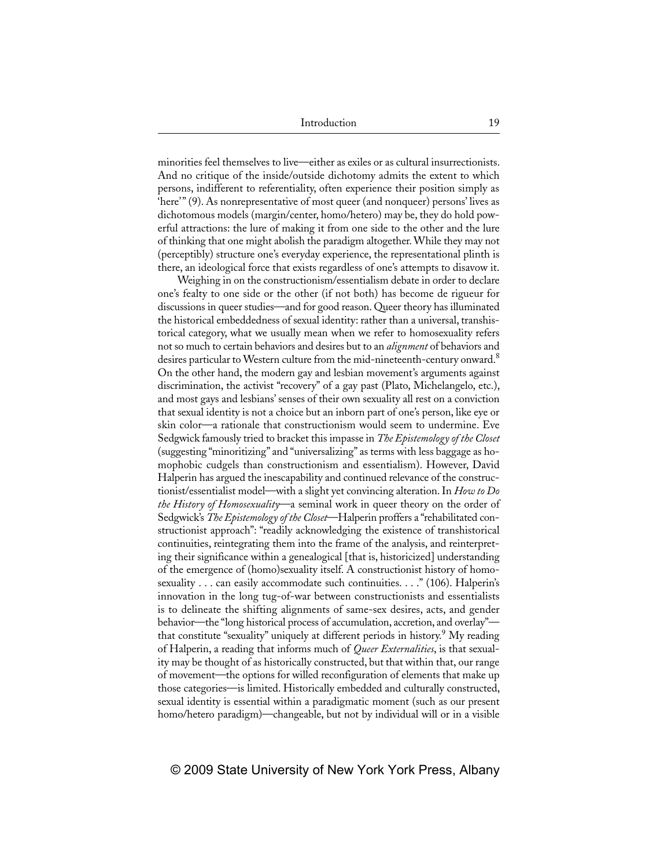minorities feel themselves to live—either as exiles or as cultural insurrectionists. And no critique of the inside/outside dichotomy admits the extent to which persons, indifferent to referentiality, often experience their position simply as 'here'" (9). As nonrepresentative of most queer (and nonqueer) persons' lives as dichotomous models (margin/center, homo/hetero) may be, they do hold powerful attractions: the lure of making it from one side to the other and the lure of thinking that one might abolish the paradigm altogether. While they may not (perceptibly) structure one's everyday experience, the representational plinth is there, an ideological force that exists regardless of one's attempts to disavow it.

Weighing in on the constructionism/essentialism debate in order to declare one's fealty to one side or the other (if not both) has become de rigueur for discussions in queer studies—and for good reason. Queer theory has illuminated the historical embeddedness of sexual identity: rather than a universal, transhistorical category, what we usually mean when we refer to homosexuality refers not so much to certain behaviors and desires but to an *alignment* of behaviors and desires particular to Western culture from the mid-nineteenth-century onward.<sup>8</sup> On the other hand, the modern gay and lesbian movement's arguments against discrimination, the activist "recovery" of a gay past (Plato, Michelangelo, etc.), and most gays and lesbians' senses of their own sexuality all rest on a conviction that sexual identity is not a choice but an inborn part of one's person, like eye or skin color—a rationale that constructionism would seem to undermine. Eve Sedgwick famously tried to bracket this impasse in *The Epistemology of the Closet* (suggesting "minoritizing" and "universalizing" as terms with less baggage as homophobic cudgels than constructionism and essentialism). However, David Halperin has argued the inescapability and continued relevance of the constructionist/essentialist model—with a slight yet convincing alteration. In *How to Do the History of Homosexuality*—a seminal work in queer theory on the order of Sedgwick's *The Epistemology of the Closet*—Halperin proffers a "rehabilitated constructionist approach": "readily acknowledging the existence of transhistorical continuities, reintegrating them into the frame of the analysis, and reinterpreting their significance within a genealogical [that is, historicized] understanding of the emergence of (homo)sexuality itself. A constructionist history of homosexuality . . . can easily accommodate such continuities. . . ." (106). Halperin's innovation in the long tug-of-war between constructionists and essentialists is to delineate the shifting alignments of same-sex desires, acts, and gender behavior—the "long historical process of accumulation, accretion, and overlay" that constitute "sexuality" uniquely at different periods in history.<sup>9</sup> My reading of Halperin, a reading that informs much of *Queer Externalities*, is that sexuality may be thought of as historically constructed, but that within that, our range of movement—the options for willed reconfiguration of elements that make up those categories—is limited. Historically embedded and culturally constructed, sexual identity is essential within a paradigmatic moment (such as our present homo/hetero paradigm)—changeable, but not by individual will or in a visible